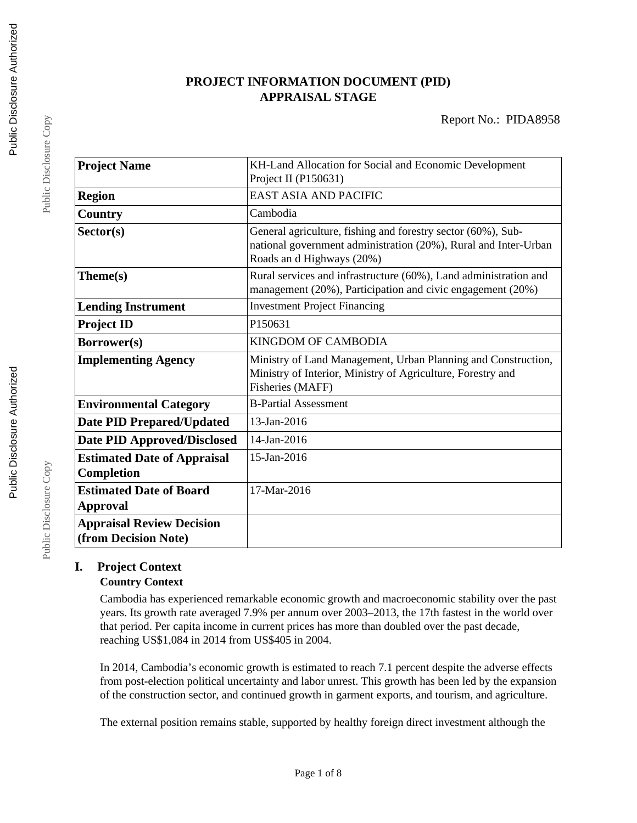## **PROJECT INFORMATION DOCUMENT (PID) APPRAISAL STAGE**

| <b>Project Name</b>                | KH-Land Allocation for Social and Economic Development           |
|------------------------------------|------------------------------------------------------------------|
|                                    | Project II (P150631)                                             |
|                                    | <b>EAST ASIA AND PACIFIC</b>                                     |
| <b>Region</b>                      |                                                                  |
| Country                            | Cambodia                                                         |
| Sector(s)                          | General agriculture, fishing and forestry sector (60%), Sub-     |
|                                    | national government administration (20%), Rural and Inter-Urban  |
|                                    | Roads and Highways (20%)                                         |
| Theme(s)                           | Rural services and infrastructure (60%), Land administration and |
|                                    | management (20%), Participation and civic engagement (20%)       |
| <b>Lending Instrument</b>          | <b>Investment Project Financing</b>                              |
| <b>Project ID</b>                  | P150631                                                          |
| <b>Borrower(s)</b>                 | <b>KINGDOM OF CAMBODIA</b>                                       |
| <b>Implementing Agency</b>         | Ministry of Land Management, Urban Planning and Construction,    |
|                                    | Ministry of Interior, Ministry of Agriculture, Forestry and      |
|                                    | Fisheries (MAFF)                                                 |
| <b>Environmental Category</b>      | <b>B-Partial Assessment</b>                                      |
| <b>Date PID Prepared/Updated</b>   | 13-Jan-2016                                                      |
| <b>Date PID Approved/Disclosed</b> | 14-Jan-2016                                                      |
| <b>Estimated Date of Appraisal</b> | 15-Jan-2016                                                      |
| Completion                         |                                                                  |
| <b>Estimated Date of Board</b>     | 17-Mar-2016                                                      |
| <b>Approval</b>                    |                                                                  |
| <b>Appraisal Review Decision</b>   |                                                                  |
| (from Decision Note)               |                                                                  |

# **I. Project Context**

#### **Country Context**

Cambodia has experienced remarkable economic growth and macroeconomic stability over the past years. Its growth rate averaged 7.9% per annum over 2003–2013, the 17th fastest in the world over that period. Per capita income in current prices has more than doubled over the past decade, reaching US\$1,084 in 2014 from US\$405 in 2004.

In 2014, Cambodia's economic growth is estimated to reach 7.1 percent despite the adverse effects from post-election political uncertainty and labor unrest. This growth has been led by the expansion of the construction sector, and continued growth in garment exports, and tourism, and agriculture.

The external position remains stable, supported by healthy foreign direct investment although the

Public Disclosure Copy

Public Disclosure Copy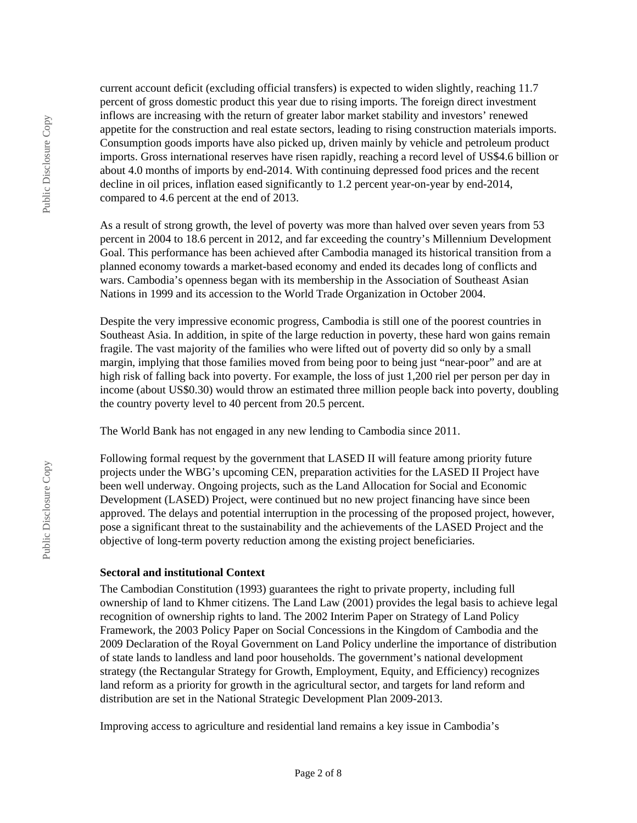current account deficit (excluding official transfers) is expected to widen slightly, reaching 11.7 percent of gross domestic product this year due to rising imports. The foreign direct investment inflows are increasing with the return of greater labor market stability and investors' renewed appetite for the construction and real estate sectors, leading to rising construction materials imports. Consumption goods imports have also picked up, driven mainly by vehicle and petroleum product imports. Gross international reserves have risen rapidly, reaching a record level of US\$4.6 billion or about 4.0 months of imports by end-2014. With continuing depressed food prices and the recent decline in oil prices, inflation eased significantly to 1.2 percent year-on-year by end-2014, compared to 4.6 percent at the end of 2013.

As a result of strong growth, the level of poverty was more than halved over seven years from 53 percent in 2004 to 18.6 percent in 2012, and far exceeding the country's Millennium Development Goal. This performance has been achieved after Cambodia managed its historical transition from a planned economy towards a market-based economy and ended its decades long of conflicts and wars. Cambodia's openness began with its membership in the Association of Southeast Asian Nations in 1999 and its accession to the World Trade Organization in October 2004.

Despite the very impressive economic progress, Cambodia is still one of the poorest countries in Southeast Asia. In addition, in spite of the large reduction in poverty, these hard won gains remain fragile. The vast majority of the families who were lifted out of poverty did so only by a small margin, implying that those families moved from being poor to being just "near-poor" and are at high risk of falling back into poverty. For example, the loss of just 1,200 riel per person per day in income (about US\$0.30) would throw an estimated three million people back into poverty, doubling the country poverty level to 40 percent from 20.5 percent.

The World Bank has not engaged in any new lending to Cambodia since 2011.

Following formal request by the government that LASED II will feature among priority future projects under the WBG's upcoming CEN, preparation activities for the LASED II Project have been well underway. Ongoing projects, such as the Land Allocation for Social and Economic Development (LASED) Project, were continued but no new project financing have since been approved. The delays and potential interruption in the processing of the proposed project, however, pose a significant threat to the sustainability and the achievements of the LASED Project and the objective of long-term poverty reduction among the existing project beneficiaries.

#### **Sectoral and institutional Context**

The Cambodian Constitution (1993) guarantees the right to private property, including full ownership of land to Khmer citizens. The Land Law (2001) provides the legal basis to achieve legal recognition of ownership rights to land. The 2002 Interim Paper on Strategy of Land Policy Framework, the 2003 Policy Paper on Social Concessions in the Kingdom of Cambodia and the 2009 Declaration of the Royal Government on Land Policy underline the importance of distribution of state lands to landless and land poor households. The government's national development strategy (the Rectangular Strategy for Growth, Employment, Equity, and Efficiency) recognizes land reform as a priority for growth in the agricultural sector, and targets for land reform and distribution are set in the National Strategic Development Plan 2009-2013.

Improving access to agriculture and residential land remains a key issue in Cambodia's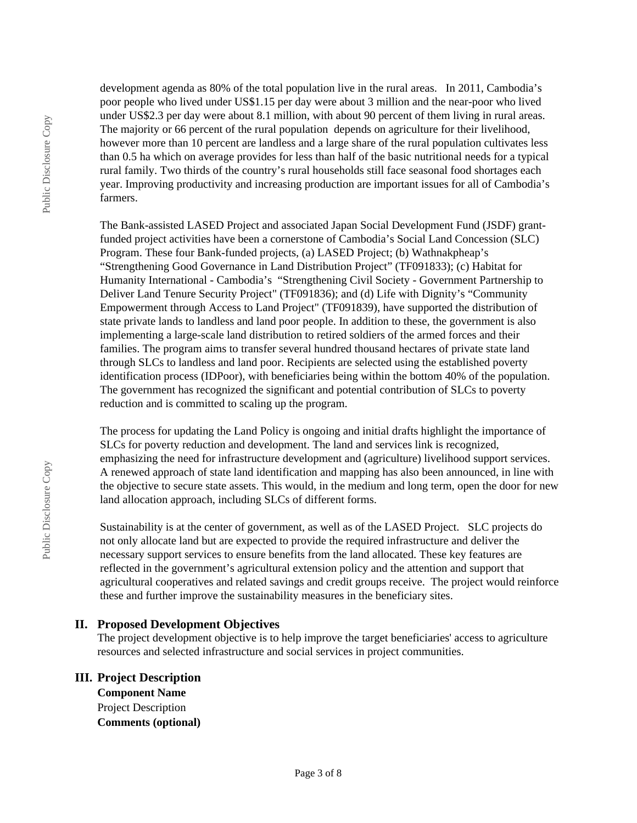development agenda as 80% of the total population live in the rural areas. In 2011, Cambodia's poor people who lived under US\$1.15 per day were about 3 million and the near-poor who lived under US\$2.3 per day were about 8.1 million, with about 90 percent of them living in rural areas. The majority or 66 percent of the rural population depends on agriculture for their livelihood, however more than 10 percent are landless and a large share of the rural population cultivates less than 0.5 ha which on average provides for less than half of the basic nutritional needs for a typical rural family. Two thirds of the country's rural households still face seasonal food shortages each year. Improving productivity and increasing production are important issues for all of Cambodia's farmers.

The Bank-assisted LASED Project and associated Japan Social Development Fund (JSDF) grantfunded project activities have been a cornerstone of Cambodia's Social Land Concession (SLC) Program. These four Bank-funded projects, (a) LASED Project; (b) Wathnakpheap's "Strengthening Good Governance in Land Distribution Project" (TF091833); (c) Habitat for Humanity International - Cambodia's "Strengthening Civil Society - Government Partnership to Deliver Land Tenure Security Project" (TF091836); and (d) Life with Dignity's "Community Empowerment through Access to Land Project" (TF091839), have supported the distribution of state private lands to landless and land poor people. In addition to these, the government is also implementing a large-scale land distribution to retired soldiers of the armed forces and their families. The program aims to transfer several hundred thousand hectares of private state land through SLCs to landless and land poor. Recipients are selected using the established poverty identification process (IDPoor), with beneficiaries being within the bottom 40% of the population. The government has recognized the significant and potential contribution of SLCs to poverty reduction and is committed to scaling up the program.

The process for updating the Land Policy is ongoing and initial drafts highlight the importance of SLCs for poverty reduction and development. The land and services link is recognized, emphasizing the need for infrastructure development and (agriculture) livelihood support services. A renewed approach of state land identification and mapping has also been announced, in line with the objective to secure state assets. This would, in the medium and long term, open the door for new land allocation approach, including SLCs of different forms.

Sustainability is at the center of government, as well as of the LASED Project. SLC projects do not only allocate land but are expected to provide the required infrastructure and deliver the necessary support services to ensure benefits from the land allocated. These key features are reflected in the government's agricultural extension policy and the attention and support that agricultural cooperatives and related savings and credit groups receive. The project would reinforce these and further improve the sustainability measures in the beneficiary sites.

#### **II. Proposed Development Objectives**

The project development objective is to help improve the target beneficiaries' access to agriculture resources and selected infrastructure and social services in project communities.

## **III. Project Description**

**Component Name** Project Description **Comments (optional)**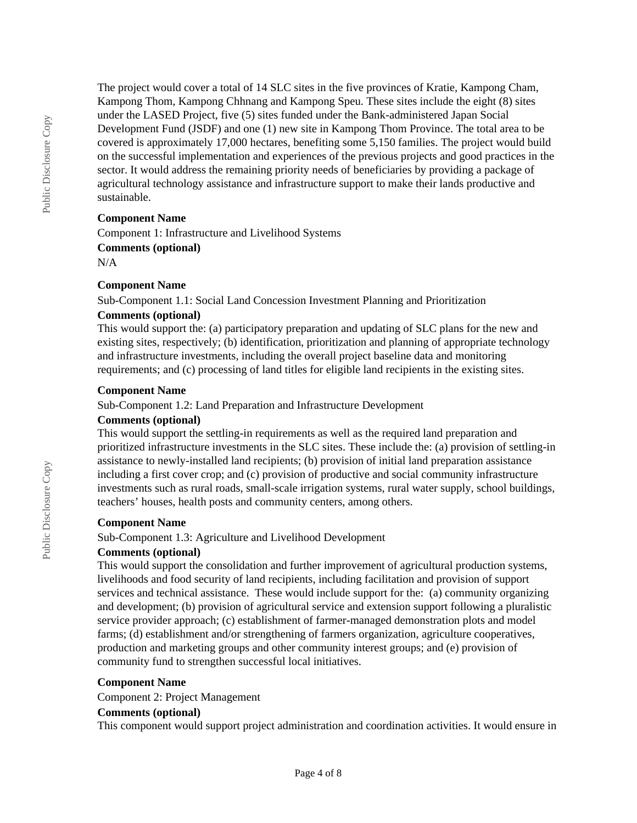The project would cover a total of 14 SLC sites in the five provinces of Kratie, Kampong Cham, Kampong Thom, Kampong Chhnang and Kampong Speu. These sites include the eight (8) sites under the LASED Project, five (5) sites funded under the Bank-administered Japan Social Development Fund (JSDF) and one (1) new site in Kampong Thom Province. The total area to be covered is approximately 17,000 hectares, benefiting some 5,150 families. The project would build on the successful implementation and experiences of the previous projects and good practices in the sector. It would address the remaining priority needs of beneficiaries by providing a package of agricultural technology assistance and infrastructure support to make their lands productive and sustainable.

#### **Component Name**

Component 1: Infrastructure and Livelihood Systems **Comments (optional)** N/A

#### **Component Name**

Sub-Component 1.1: Social Land Concession Investment Planning and Prioritization

#### **Comments (optional)**

This would support the: (a) participatory preparation and updating of SLC plans for the new and existing sites, respectively; (b) identification, prioritization and planning of appropriate technology and infrastructure investments, including the overall project baseline data and monitoring requirements; and (c) processing of land titles for eligible land recipients in the existing sites.

#### **Component Name**

Sub-Component 1.2: Land Preparation and Infrastructure Development

#### **Comments (optional)**

This would support the settling-in requirements as well as the required land preparation and prioritized infrastructure investments in the SLC sites. These include the: (a) provision of settling-in assistance to newly-installed land recipients; (b) provision of initial land preparation assistance including a first cover crop; and (c) provision of productive and social community infrastructure investments such as rural roads, small-scale irrigation systems, rural water supply, school buildings, teachers' houses, health posts and community centers, among others.

#### **Component Name**

Sub-Component 1.3: Agriculture and Livelihood Development

#### **Comments (optional)**

This would support the consolidation and further improvement of agricultural production systems, livelihoods and food security of land recipients, including facilitation and provision of support services and technical assistance. These would include support for the: (a) community organizing and development; (b) provision of agricultural service and extension support following a pluralistic service provider approach; (c) establishment of farmer-managed demonstration plots and model farms; (d) establishment and/or strengthening of farmers organization, agriculture cooperatives, production and marketing groups and other community interest groups; and (e) provision of community fund to strengthen successful local initiatives.

#### **Component Name**

Component 2: Project Management

#### **Comments (optional)**

This component would support project administration and coordination activities. It would ensure in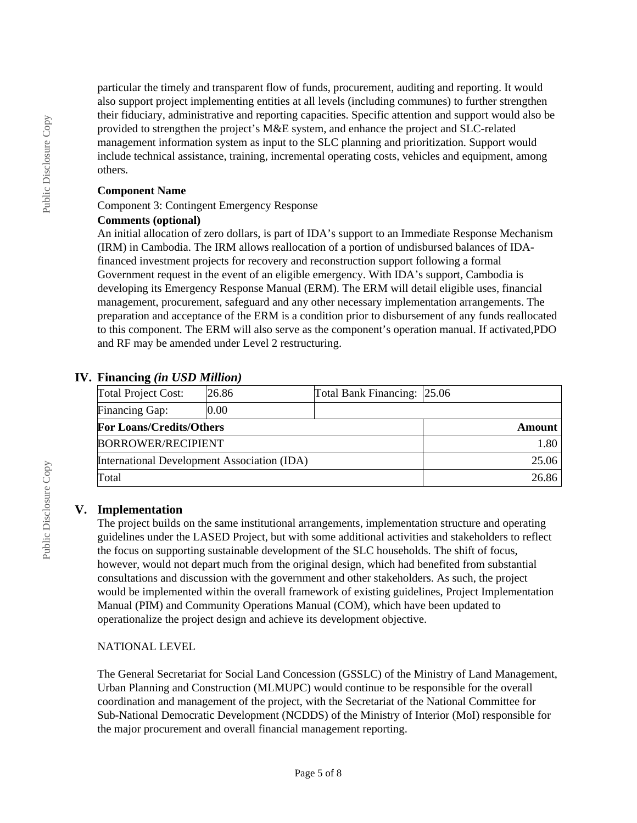particular the timely and transparent flow of funds, procurement, auditing and reporting. It would also support project implementing entities at all levels (including communes) to further strengthen their fiduciary, administrative and reporting capacities. Specific attention and support would also be provided to strengthen the project's M&E system, and enhance the project and SLC-related management information system as input to the SLC planning and prioritization. Support would include technical assistance, training, incremental operating costs, vehicles and equipment, among others.

#### **Component Name**

Component 3: Contingent Emergency Response

#### **Comments (optional)**

An initial allocation of zero dollars, is part of IDA's support to an Immediate Response Mechanism (IRM) in Cambodia. The IRM allows reallocation of a portion of undisbursed balances of IDAfinanced investment projects for recovery and reconstruction support following a formal Government request in the event of an eligible emergency. With IDA's support, Cambodia is developing its Emergency Response Manual (ERM). The ERM will detail eligible uses, financial management, procurement, safeguard and any other necessary implementation arrangements. The preparation and acceptance of the ERM is a condition prior to disbursement of any funds reallocated to this component. The ERM will also serve as the component's operation manual. If activated,PDO and RF may be amended under Level 2 restructuring.

## **IV. Financing** *(in USD Million)*

| <b>Total Project Cost:</b>                  | 26.86 | Total Bank Financing: 25.06 |  |
|---------------------------------------------|-------|-----------------------------|--|
| Financing Gap:                              | 0.00  |                             |  |
| <b>For Loans/Credits/Others</b>             |       | <b>Amount</b>               |  |
| <b>BORROWER/RECIPIENT</b>                   |       | 1.80                        |  |
| International Development Association (IDA) |       | 25.06                       |  |
| Total                                       |       | 26.86                       |  |

## **V. Implementation**

The project builds on the same institutional arrangements, implementation structure and operating guidelines under the LASED Project, but with some additional activities and stakeholders to reflect the focus on supporting sustainable development of the SLC households. The shift of focus, however, would not depart much from the original design, which had benefited from substantial consultations and discussion with the government and other stakeholders. As such, the project would be implemented within the overall framework of existing guidelines, Project Implementation Manual (PIM) and Community Operations Manual (COM), which have been updated to operationalize the project design and achieve its development objective.

## NATIONAL LEVEL

The General Secretariat for Social Land Concession (GSSLC) of the Ministry of Land Management, Urban Planning and Construction (MLMUPC) would continue to be responsible for the overall coordination and management of the project, with the Secretariat of the National Committee for Sub-National Democratic Development (NCDDS) of the Ministry of Interior (MoI) responsible for the major procurement and overall financial management reporting.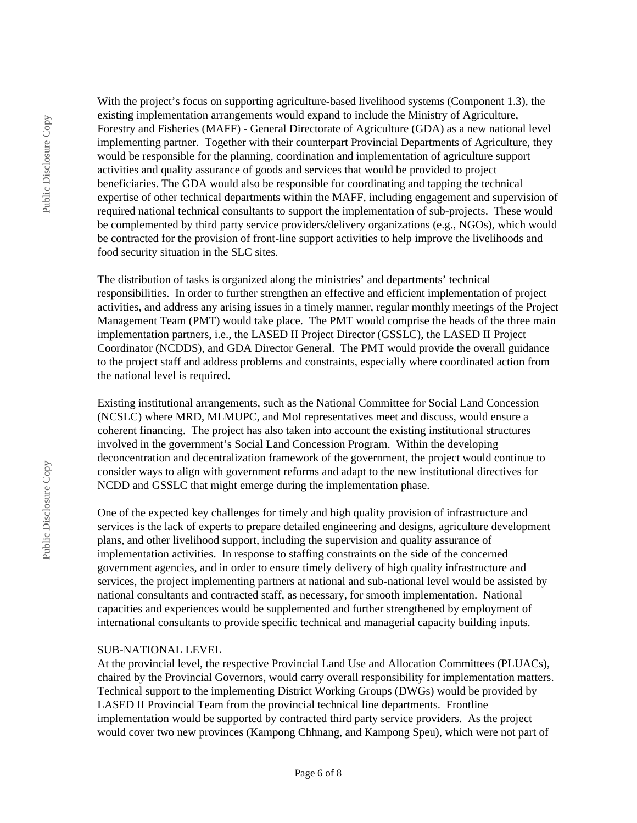With the project's focus on supporting agriculture-based livelihood systems (Component 1.3), the existing implementation arrangements would expand to include the Ministry of Agriculture, Forestry and Fisheries (MAFF) - General Directorate of Agriculture (GDA) as a new national level implementing partner. Together with their counterpart Provincial Departments of Agriculture, they would be responsible for the planning, coordination and implementation of agriculture support activities and quality assurance of goods and services that would be provided to project beneficiaries. The GDA would also be responsible for coordinating and tapping the technical expertise of other technical departments within the MAFF, including engagement and supervision of required national technical consultants to support the implementation of sub-projects. These would be complemented by third party service providers/delivery organizations (e.g., NGOs), which would be contracted for the provision of front-line support activities to help improve the livelihoods and food security situation in the SLC sites.

The distribution of tasks is organized along the ministries' and departments' technical responsibilities. In order to further strengthen an effective and efficient implementation of project activities, and address any arising issues in a timely manner, regular monthly meetings of the Project Management Team (PMT) would take place. The PMT would comprise the heads of the three main implementation partners, i.e., the LASED II Project Director (GSSLC), the LASED II Project Coordinator (NCDDS), and GDA Director General. The PMT would provide the overall guidance to the project staff and address problems and constraints, especially where coordinated action from the national level is required.

Existing institutional arrangements, such as the National Committee for Social Land Concession (NCSLC) where MRD, MLMUPC, and MoI representatives meet and discuss, would ensure a coherent financing. The project has also taken into account the existing institutional structures involved in the government's Social Land Concession Program. Within the developing deconcentration and decentralization framework of the government, the project would continue to consider ways to align with government reforms and adapt to the new institutional directives for NCDD and GSSLC that might emerge during the implementation phase.

One of the expected key challenges for timely and high quality provision of infrastructure and services is the lack of experts to prepare detailed engineering and designs, agriculture development plans, and other livelihood support, including the supervision and quality assurance of implementation activities. In response to staffing constraints on the side of the concerned government agencies, and in order to ensure timely delivery of high quality infrastructure and services, the project implementing partners at national and sub-national level would be assisted by national consultants and contracted staff, as necessary, for smooth implementation. National capacities and experiences would be supplemented and further strengthened by employment of international consultants to provide specific technical and managerial capacity building inputs.

#### SUB-NATIONAL LEVEL

At the provincial level, the respective Provincial Land Use and Allocation Committees (PLUACs), chaired by the Provincial Governors, would carry overall responsibility for implementation matters. Technical support to the implementing District Working Groups (DWGs) would be provided by LASED II Provincial Team from the provincial technical line departments. Frontline implementation would be supported by contracted third party service providers. As the project would cover two new provinces (Kampong Chhnang, and Kampong Speu), which were not part of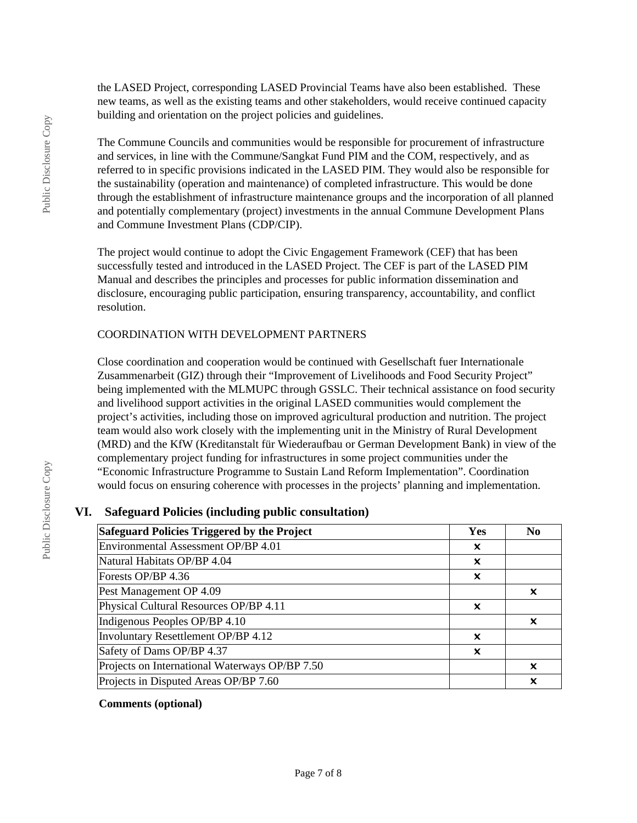the LASED Project, corresponding LASED Provincial Teams have also been established. These new teams, as well as the existing teams and other stakeholders, would receive continued capacity building and orientation on the project policies and guidelines.

The Commune Councils and communities would be responsible for procurement of infrastructure and services, in line with the Commune/Sangkat Fund PIM and the COM, respectively, and as referred to in specific provisions indicated in the LASED PIM. They would also be responsible for the sustainability (operation and maintenance) of completed infrastructure. This would be done through the establishment of infrastructure maintenance groups and the incorporation of all planned and potentially complementary (project) investments in the annual Commune Development Plans and Commune Investment Plans (CDP/CIP).

The project would continue to adopt the Civic Engagement Framework (CEF) that has been successfully tested and introduced in the LASED Project. The CEF is part of the LASED PIM Manual and describes the principles and processes for public information dissemination and disclosure, encouraging public participation, ensuring transparency, accountability, and conflict resolution.

#### COORDINATION WITH DEVELOPMENT PARTNERS

Close coordination and cooperation would be continued with Gesellschaft fuer Internationale Zusammenarbeit (GIZ) through their "Improvement of Livelihoods and Food Security Project" being implemented with the MLMUPC through GSSLC. Their technical assistance on food security and livelihood support activities in the original LASED communities would complement the project's activities, including those on improved agricultural production and nutrition. The project team would also work closely with the implementing unit in the Ministry of Rural Development (MRD) and the KfW (Kreditanstalt für Wiederaufbau or German Development Bank) in view of the complementary project funding for infrastructures in some project communities under the "Economic Infrastructure Programme to Sustain Land Reform Implementation". Coordination would focus on ensuring coherence with processes in the projects' planning and implementation.

#### **VI. Safeguard Policies (including public consultation)**

| Safeguard Policies Triggered by the Project    |   | N <sub>0</sub> |
|------------------------------------------------|---|----------------|
| Environmental Assessment OP/BP 4.01            |   |                |
| Natural Habitats OP/BP 4.04                    | x |                |
| Forests OP/BP 4.36                             | X |                |
| Pest Management OP 4.09                        |   | x              |
| Physical Cultural Resources OP/BP 4.11         | X |                |
| Indigenous Peoples OP/BP 4.10                  |   | x              |
| Involuntary Resettlement OP/BP 4.12            | x |                |
| Safety of Dams OP/BP 4.37                      | x |                |
| Projects on International Waterways OP/BP 7.50 |   | X              |
| Projects in Disputed Areas OP/BP 7.60          |   | x              |

**Comments (optional)**